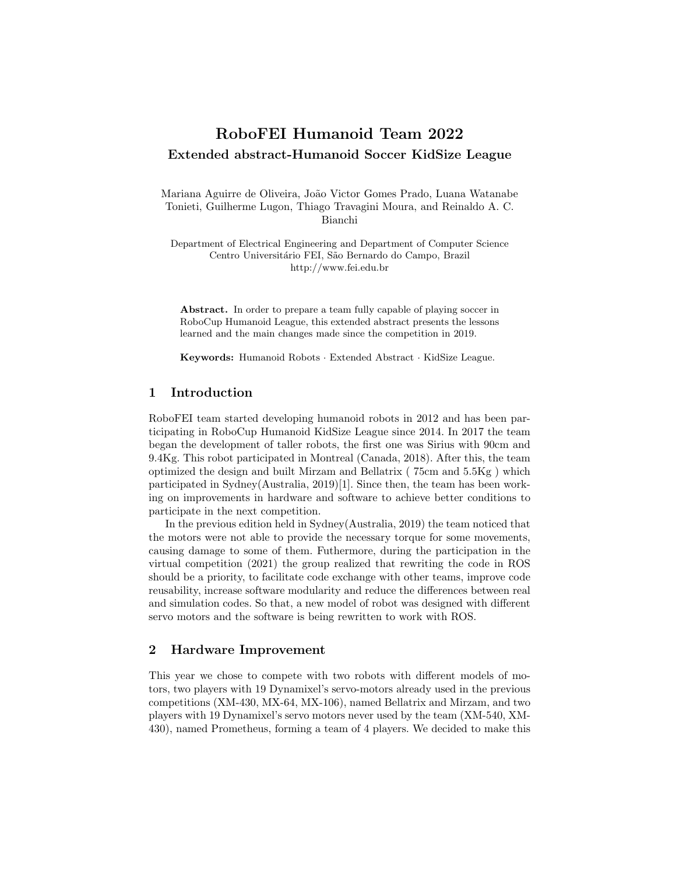# RoboFEI Humanoid Team 2022 Extended abstract-Humanoid Soccer KidSize League

Mariana Aguirre de Oliveira, João Victor Gomes Prado, Luana Watanabe Tonieti, Guilherme Lugon, Thiago Travagini Moura, and Reinaldo A. C. Bianchi

Department of Electrical Engineering and Department of Computer Science Centro Universitário FEI, São Bernardo do Campo, Brazil http://www.fei.edu.br

Abstract. In order to prepare a team fully capable of playing soccer in RoboCup Humanoid League, this extended abstract presents the lessons learned and the main changes made since the competition in 2019.

Keywords: Humanoid Robots · Extended Abstract · KidSize League.

#### 1 Introduction

RoboFEI team started developing humanoid robots in 2012 and has been participating in RoboCup Humanoid KidSize League since 2014. In 2017 the team began the development of taller robots, the first one was Sirius with 90cm and 9.4Kg. This robot participated in Montreal (Canada, 2018). After this, the team optimized the design and built Mirzam and Bellatrix ( 75cm and 5.5Kg ) which participated in Sydney(Australia, 2019)[1]. Since then, the team has been working on improvements in hardware and software to achieve better conditions to participate in the next competition.

In the previous edition held in Sydney(Australia, 2019) the team noticed that the motors were not able to provide the necessary torque for some movements, causing damage to some of them. Futhermore, during the participation in the virtual competition (2021) the group realized that rewriting the code in ROS should be a priority, to facilitate code exchange with other teams, improve code reusability, increase software modularity and reduce the differences between real and simulation codes. So that, a new model of robot was designed with different servo motors and the software is being rewritten to work with ROS.

#### 2 Hardware Improvement

This year we chose to compete with two robots with different models of motors, two players with 19 Dynamixel's servo-motors already used in the previous competitions (XM-430, MX-64, MX-106), named Bellatrix and Mirzam, and two players with 19 Dynamixel's servo motors never used by the team (XM-540, XM-430), named Prometheus, forming a team of 4 players. We decided to make this